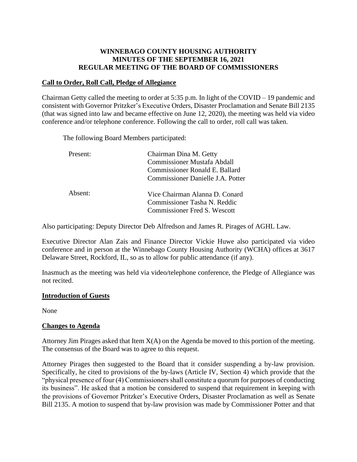# **WINNEBAGO COUNTY HOUSING AUTHORITY MINUTES OF THE SEPTEMBER 16, 2021 REGULAR MEETING OF THE BOARD OF COMMISSIONERS**

### **Call to Order, Roll Call, Pledge of Allegiance**

Chairman Getty called the meeting to order at 5:35 p.m. In light of the COVID – 19 pandemic and consistent with Governor Pritzker's Executive Orders, Disaster Proclamation and Senate Bill 2135 (that was signed into law and became effective on June 12, 2020), the meeting was held via video conference and/or telephone conference. Following the call to order, roll call was taken.

The following Board Members participated:

| Present: | Chairman Dina M. Getty<br><b>Commissioner Mustafa Abdall</b><br>Commissioner Ronald E. Ballard<br>Commissioner Danielle J.A. Potter |
|----------|-------------------------------------------------------------------------------------------------------------------------------------|
| Absent:  | Vice Chairman Alanna D. Conard<br>Commissioner Tasha N. Reddic<br><b>Commissioner Fred S. Wescott</b>                               |

Also participating: Deputy Director Deb Alfredson and James R. Pirages of AGHL Law.

Executive Director Alan Zais and Finance Director Vickie Huwe also participated via video conference and in person at the Winnebago County Housing Authority (WCHA) offices at 3617 Delaware Street, Rockford, IL, so as to allow for public attendance (if any).

Inasmuch as the meeting was held via video/telephone conference, the Pledge of Allegiance was not recited.

#### **Introduction of Guests**

None

#### **Changes to Agenda**

Attorney Jim Pirages asked that Item X(A) on the Agenda be moved to this portion of the meeting. The consensus of the Board was to agree to this request.

Attorney Pirages then suggested to the Board that it consider suspending a by-law provision. Specifically, he cited to provisions of the by-laws (Article IV, Section 4) which provide that the "physical presence of four (4) Commissioners shall constitute a quorum for purposes of conducting its business". He asked that a motion be considered to suspend that requirement in keeping with the provisions of Governor Pritzker's Executive Orders, Disaster Proclamation as well as Senate Bill 2135. A motion to suspend that by-law provision was made by Commissioner Potter and that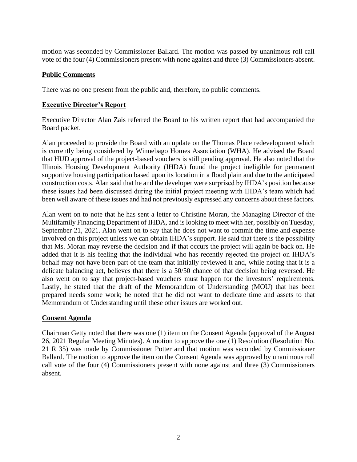motion was seconded by Commissioner Ballard. The motion was passed by unanimous roll call vote of the four (4) Commissioners present with none against and three (3) Commissioners absent.

### **Public Comments**

There was no one present from the public and, therefore, no public comments.

### **Executive Director's Report**

Executive Director Alan Zais referred the Board to his written report that had accompanied the Board packet.

Alan proceeded to provide the Board with an update on the Thomas Place redevelopment which is currently being considered by Winnebago Homes Association (WHA). He advised the Board that HUD approval of the project-based vouchers is still pending approval. He also noted that the Illinois Housing Development Authority (IHDA) found the project ineligible for permanent supportive housing participation based upon its location in a flood plain and due to the anticipated construction costs. Alan said that he and the developer were surprised by IHDA's position because these issues had been discussed during the initial project meeting with IHDA's team which had been well aware of these issues and had not previously expressed any concerns about these factors.

Alan went on to note that he has sent a letter to Christine Moran, the Managing Director of the Multifamily Financing Department of IHDA, and is looking to meet with her, possibly on Tuesday, September 21, 2021. Alan went on to say that he does not want to commit the time and expense involved on this project unless we can obtain IHDA's support. He said that there is the possibility that Ms. Moran may reverse the decision and if that occurs the project will again be back on. He added that it is his feeling that the individual who has recently rejected the project on IHDA's behalf may not have been part of the team that initially reviewed it and, while noting that it is a delicate balancing act, believes that there is a 50/50 chance of that decision being reversed. He also went on to say that project-based vouchers must happen for the investors' requirements. Lastly, he stated that the draft of the Memorandum of Understanding (MOU) that has been prepared needs some work; he noted that he did not want to dedicate time and assets to that Memorandum of Understanding until these other issues are worked out.

# **Consent Agenda**

Chairman Getty noted that there was one (1) item on the Consent Agenda (approval of the August 26, 2021 Regular Meeting Minutes). A motion to approve the one (1) Resolution (Resolution No. 21 R 35) was made by Commissioner Potter and that motion was seconded by Commissioner Ballard. The motion to approve the item on the Consent Agenda was approved by unanimous roll call vote of the four (4) Commissioners present with none against and three (3) Commissioners absent.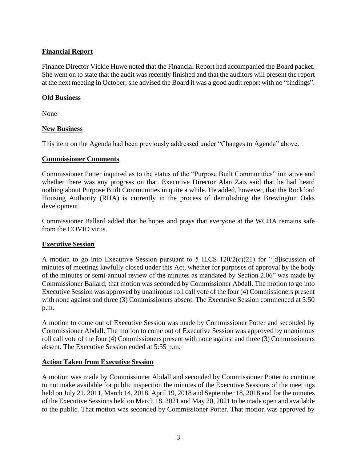# **Financial Report**

Finance Director Vickie Huwe noted that the Financial Report had accompanied the Board packet. She went on to state that the audit was recently finished and that the auditors will present the report at the next meeting in October; she advised the Board it was a good audit report with no "findings".

# **Old Business**

None

# **New Business**

This item on the Agenda had been previously addressed under "Changes to Agenda" above.

### **Commissioner Comments**

Commissioner Potter inquired as to the status of the "Purpose Built Communities" initiative and whether there was any progress on that. Executive Director Alan Zais said that he had heard nothing about Purpose Built Communities in quite a while. He added, however, that the Rockford Housing Authority (RHA) is currently in the process of demolishing the Brewington Oaks development.

Commissioner Ballard added that he hopes and prays that everyone at the WCHA remains safe from the COVID virus.

#### **Executive Session**

A motion to go into Executive Session pursuant to 5 ILCS  $120/2(c)(21)$  for "[d] iscussion of minutes of meetings lawfully closed under this Act, whether for purposes of approval by the body of the minutes or semi-annual review of the minutes as mandated by Section 2.06" was made by Commissioner Ballard; that motion was seconded by Commissioner Abdall. The motion to go into Executive Session was approved by unanimous roll call vote of the four (4) Commissioners present with none against and three (3) Commissioners absent. The Executive Session commenced at 5:50 p.m.

A motion to come out of Executive Session was made by Commissioner Potter and seconded by Commissioner Abdall. The motion to come out of Executive Session was approved by unanimous roll call vote of the four (4) Commissioners present with none against and three (3) Commissioners absent. The Executive Session ended at 5:55 p.m.

# **Action Taken from Executive Session**

A motion was made by Commissioner Abdall and seconded by Commissioner Potter to continue to not make available for public inspection the minutes of the Executive Sessions of the meetings held on July 21, 2011, March 14, 2018, April 19, 2018 and September 18, 2018 and for the minutes of the Executive Sessions held on March 18, 2021 and May 20, 2021 to be made open and available to the public. That motion was seconded by Commissioner Potter. That motion was approved by